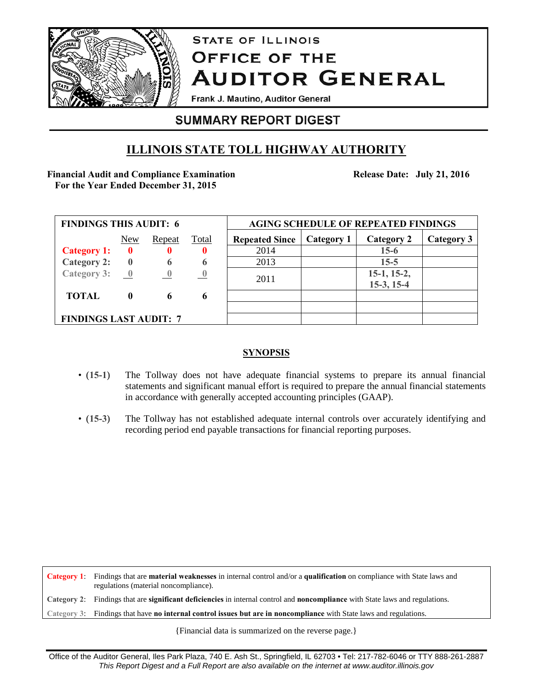

# **STATE OF ILLINOIS OFFICE OF THE AUDITOR GENERAL**

Frank J. Mautino, Auditor General

## **SUMMARY REPORT DIGEST**

## **ILLINOIS STATE TOLL HIGHWAY AUTHORITY**

### **Financial Audit and Compliance Examination For the Year Ended December 31, 2015**

**Release Date: July 21, 2016**

| <b>FINDINGS THIS AUDIT: 6</b>            |              |                          |              | <b>AGING SCHEDULE OF REPEATED FINDINGS</b> |            |                   |            |
|------------------------------------------|--------------|--------------------------|--------------|--------------------------------------------|------------|-------------------|------------|
|                                          | New          | <b>Repeat</b>            | <u>Total</u> | <b>Repeated Since</b>                      | Category 1 | <b>Category 2</b> | Category 3 |
| <b>Category 1:</b>                       | $\bf{0}$     | $\bf{0}$                 | 0            | 2014                                       |            | $15-6$            |            |
| <b>Category 2:</b>                       | $\bf{0}$     | 6                        | 6            | 2013                                       |            | $15 - 5$          |            |
| Category 3: $\underline{\qquad \qquad }$ |              | $\overline{\phantom{a}}$ |              | 2011                                       |            | $15-1, 15-2,$     |            |
|                                          |              |                          |              |                                            |            | $15-3, 15-4$      |            |
| <b>TOTAL</b>                             | $\mathbf{0}$ | 6                        | 6            |                                            |            |                   |            |
|                                          |              |                          |              |                                            |            |                   |            |
| <b>FINDINGS LAST AUDIT: 7</b>            |              |                          |              |                                            |            |                   |            |

## **SYNOPSIS**

- (**15-1**) The Tollway does not have adequate financial systems to prepare its annual financial statements and significant manual effort is required to prepare the annual financial statements in accordance with generally accepted accounting principles (GAAP).
- (**15-3**) The Tollway has not established adequate internal controls over accurately identifying and recording period end payable transactions for financial reporting purposes.

**Category 1**: Findings that are **material weaknesses** in internal control and/or a **qualification** on compliance with State laws and regulations (material noncompliance). **Category 2**: Findings that are **significant deficiencies** in internal control and **noncompliance** with State laws and regulations. **Category 3**: Findings that have **no internal control issues but are in noncompliance** with State laws and regulations.

{Financial data is summarized on the reverse page.}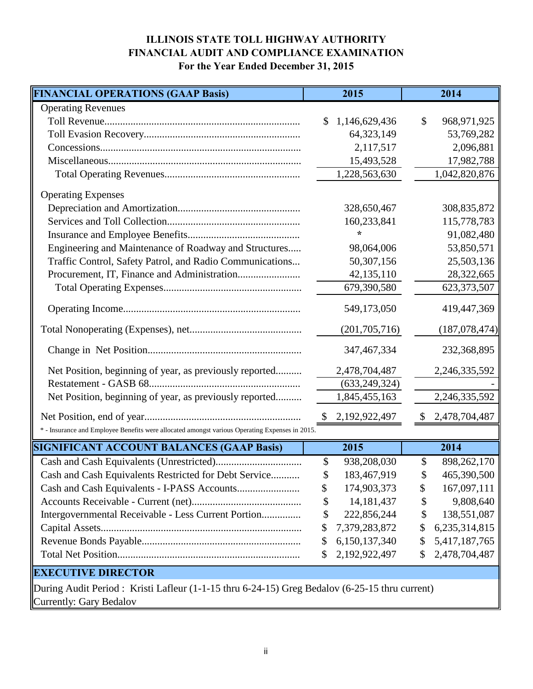## **ILLINOIS STATE TOLL HIGHWAY AUTHORITY FINANCIAL AUDIT AND COMPLIANCE EXAMINATION For the Year Ended December 31, 2015**

| <b>FINANCIAL OPERATIONS (GAAP Basis)</b>                                                       | 2015          |                 |                           | 2014            |  |  |  |  |
|------------------------------------------------------------------------------------------------|---------------|-----------------|---------------------------|-----------------|--|--|--|--|
| <b>Operating Revenues</b>                                                                      |               |                 |                           |                 |  |  |  |  |
|                                                                                                | \$            | 1,146,629,436   | \$                        | 968,971,925     |  |  |  |  |
|                                                                                                |               | 64,323,149      |                           | 53,769,282      |  |  |  |  |
|                                                                                                |               | 2,117,517       |                           | 2,096,881       |  |  |  |  |
|                                                                                                |               | 15,493,528      |                           | 17,982,788      |  |  |  |  |
|                                                                                                |               | 1,228,563,630   |                           | 1,042,820,876   |  |  |  |  |
| <b>Operating Expenses</b>                                                                      |               |                 |                           |                 |  |  |  |  |
|                                                                                                |               | 328,650,467     |                           | 308,835,872     |  |  |  |  |
|                                                                                                |               | 160,233,841     |                           | 115,778,783     |  |  |  |  |
|                                                                                                | ÷             |                 |                           | 91,082,480      |  |  |  |  |
| Engineering and Maintenance of Roadway and Structures                                          |               | 98,064,006      |                           | 53,850,571      |  |  |  |  |
| Traffic Control, Safety Patrol, and Radio Communications                                       |               | 50,307,156      |                           | 25,503,136      |  |  |  |  |
|                                                                                                |               | 42,135,110      |                           | 28,322,665      |  |  |  |  |
|                                                                                                |               | 679,390,580     |                           | 623,373,507     |  |  |  |  |
|                                                                                                |               | 549,173,050     |                           | 419,447,369     |  |  |  |  |
|                                                                                                |               | (201, 705, 716) |                           | (187, 078, 474) |  |  |  |  |
|                                                                                                |               | 347, 467, 334   |                           | 232,368,895     |  |  |  |  |
| Net Position, beginning of year, as previously reported                                        |               | 2,478,704,487   |                           | 2,246,335,592   |  |  |  |  |
|                                                                                                |               | (633, 249, 324) |                           |                 |  |  |  |  |
| Net Position, beginning of year, as previously reported                                        |               | 1,845,455,163   |                           | 2,246,335,592   |  |  |  |  |
|                                                                                                | $\mathcal{S}$ | 2,192,922,497   | $\boldsymbol{\mathsf{S}}$ | 2,478,704,487   |  |  |  |  |
| * - Insurance and Employee Benefits were allocated amongst various Operating Expenses in 2015. |               |                 |                           |                 |  |  |  |  |
| <b>SIGNIFICANT ACCOUNT BALANCES (GAAP Basis)</b>                                               | 2015          |                 |                           | 2014            |  |  |  |  |
|                                                                                                | \$            | 938,208,030     | \$                        | 898, 262, 170   |  |  |  |  |
| Cash and Cash Equivalents Restricted for Debt Service                                          | \$            | 183,467,919     | \$                        | 465,390,500     |  |  |  |  |
|                                                                                                | \$            | 174,903,373     | \$                        | 167,097,111     |  |  |  |  |
|                                                                                                | \$            | 14, 181, 437    | \$                        | 9,808,640       |  |  |  |  |
| Intergovernmental Receivable - Less Current Portion                                            | \$            | 222,856,244     | \$                        | 138,551,087     |  |  |  |  |
|                                                                                                | \$            | 7,379,283,872   | \$                        | 6,235,314,815   |  |  |  |  |
|                                                                                                | \$            | 6,150,137,340   | \$                        | 5,417,187,765   |  |  |  |  |
|                                                                                                | \$            | 2,192,922,497   | \$                        | 2,478,704,487   |  |  |  |  |
| <b>EXECUTIVE DIRECTOR</b>                                                                      |               |                 |                           |                 |  |  |  |  |
| During Audit Period: Kristi Lafleur (1-1-15 thru 6-24-15) Greg Bedalov (6-25-15 thru current)  |               |                 |                           |                 |  |  |  |  |

**Currently: Gary Bedalov**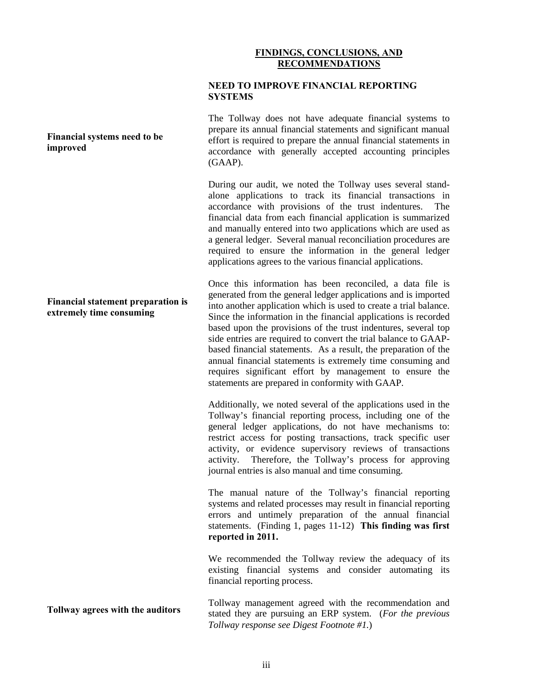#### **FINDINGS, CONCLUSIONS, AND RECOMMENDATIONS**

#### **NEED TO IMPROVE FINANCIAL REPORTING SYSTEMS**

The Tollway does not have adequate financial systems to prepare its annual financial statements and significant manual effort is required to prepare the annual financial statements in accordance with generally accepted accounting principles (GAAP).

During our audit, we noted the Tollway uses several standalone applications to track its financial transactions in accordance with provisions of the trust indentures. The financial data from each financial application is summarized and manually entered into two applications which are used as a general ledger. Several manual reconciliation procedures are required to ensure the information in the general ledger applications agrees to the various financial applications.

Once this information has been reconciled, a data file is generated from the general ledger applications and is imported into another application which is used to create a trial balance. Since the information in the financial applications is recorded based upon the provisions of the trust indentures, several top side entries are required to convert the trial balance to GAAPbased financial statements. As a result, the preparation of the annual financial statements is extremely time consuming and requires significant effort by management to ensure the statements are prepared in conformity with GAAP.

Additionally, we noted several of the applications used in the Tollway's financial reporting process, including one of the general ledger applications, do not have mechanisms to: restrict access for posting transactions, track specific user activity, or evidence supervisory reviews of transactions activity. Therefore, the Tollway's process for approving journal entries is also manual and time consuming.

The manual nature of the Tollway's financial reporting systems and related processes may result in financial reporting errors and untimely preparation of the annual financial statements. (Finding 1, pages 11-12) **This finding was first reported in 2011.**

We recommended the Tollway review the adequacy of its existing financial systems and consider automating its financial reporting process.

Tollway management agreed with the recommendation and stated they are pursuing an ERP system. (*For the previous Tollway response see Digest Footnote #1.*)

#### **Financial systems need to be improved**

#### **Financial statement preparation is extremely time consuming**

**Tollway agrees with the auditors**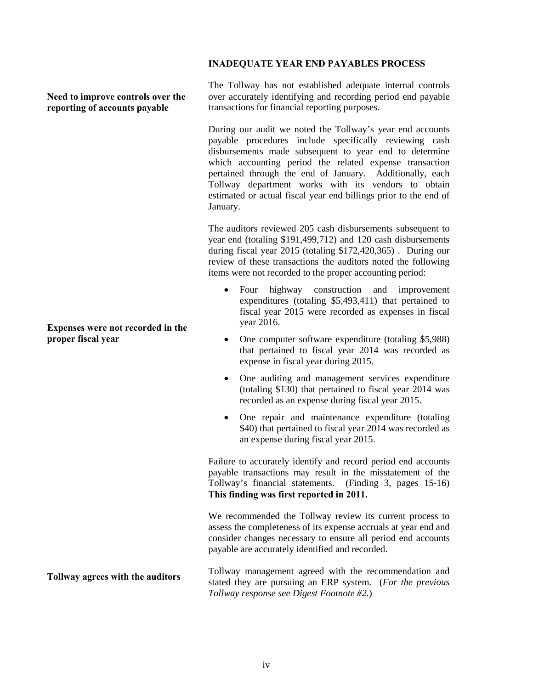#### **INADEQUATE YEAR END PAYABLES PROCESS**

**Need to improve controls over the reporting of accounts payable**

**Expenses were not recorded in the proper fiscal year**

**Tollway agrees with the auditors**

The Tollway has not established adequate internal controls over accurately identifying and recording period end payable transactions for financial reporting purposes.

During our audit we noted the Tollway's year end accounts payable procedures include specifically reviewing cash disbursements made subsequent to year end to determine which accounting period the related expense transaction pertained through the end of January. Additionally, each Tollway department works with its vendors to obtain estimated or actual fiscal year end billings prior to the end of January.

The auditors reviewed 205 cash disbursements subsequent to year end (totaling \$191,499,712) and 120 cash disbursements during fiscal year 2015 (totaling \$172,420,365) . During our review of these transactions the auditors noted the following items were not recorded to the proper accounting period:

- Four highway construction and improvement expenditures (totaling \$5,493,411) that pertained to fiscal year 2015 were recorded as expenses in fiscal year 2016.
- One computer software expenditure (totaling \$5,988) that pertained to fiscal year 2014 was recorded as expense in fiscal year during 2015.
- One auditing and management services expenditure (totaling \$130) that pertained to fiscal year 2014 was recorded as an expense during fiscal year 2015.
- One repair and maintenance expenditure (totaling \$40) that pertained to fiscal year 2014 was recorded as an expense during fiscal year 2015.

Failure to accurately identify and record period end accounts payable transactions may result in the misstatement of the Tollway's financial statements. (Finding 3, pages 15-16) **This finding was first reported in 2011.**

We recommended the Tollway review its current process to assess the completeness of its expense accruals at year end and consider changes necessary to ensure all period end accounts payable are accurately identified and recorded.

Tollway management agreed with the recommendation and stated they are pursuing an ERP system. (*For the previous Tollway response see Digest Footnote #2.*)